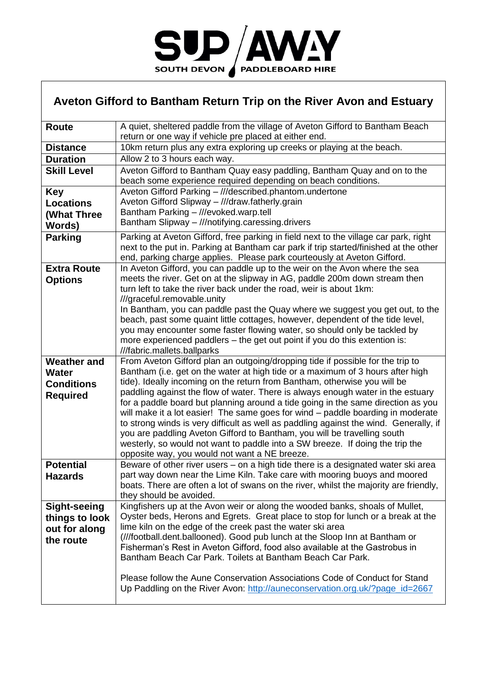

## **Aveton Gifford to Bantham Return Trip on the River Avon and Estuary**

| Route                                                               | A quiet, sheltered paddle from the village of Aveton Gifford to Bantham Beach<br>return or one way if vehicle pre placed at either end.                                                                                                                                                                                                                                                                                                                                                                                                                                                                                                                                                                                                                                                                        |  |  |
|---------------------------------------------------------------------|----------------------------------------------------------------------------------------------------------------------------------------------------------------------------------------------------------------------------------------------------------------------------------------------------------------------------------------------------------------------------------------------------------------------------------------------------------------------------------------------------------------------------------------------------------------------------------------------------------------------------------------------------------------------------------------------------------------------------------------------------------------------------------------------------------------|--|--|
| <b>Distance</b>                                                     | 10km return plus any extra exploring up creeks or playing at the beach.                                                                                                                                                                                                                                                                                                                                                                                                                                                                                                                                                                                                                                                                                                                                        |  |  |
| <b>Duration</b>                                                     | Allow 2 to 3 hours each way.                                                                                                                                                                                                                                                                                                                                                                                                                                                                                                                                                                                                                                                                                                                                                                                   |  |  |
| <b>Skill Level</b>                                                  | Aveton Gifford to Bantham Quay easy paddling, Bantham Quay and on to the<br>beach some experience required depending on beach conditions.                                                                                                                                                                                                                                                                                                                                                                                                                                                                                                                                                                                                                                                                      |  |  |
| <b>Key</b>                                                          | Aveton Gifford Parking - ///described.phantom.undertone                                                                                                                                                                                                                                                                                                                                                                                                                                                                                                                                                                                                                                                                                                                                                        |  |  |
| <b>Locations</b>                                                    | Aveton Gifford Slipway - ///draw.fatherly.grain                                                                                                                                                                                                                                                                                                                                                                                                                                                                                                                                                                                                                                                                                                                                                                |  |  |
| (What Three                                                         | Bantham Parking - ///evoked.warp.tell                                                                                                                                                                                                                                                                                                                                                                                                                                                                                                                                                                                                                                                                                                                                                                          |  |  |
| Words)                                                              | Bantham Slipway - ///notifying.caressing.drivers                                                                                                                                                                                                                                                                                                                                                                                                                                                                                                                                                                                                                                                                                                                                                               |  |  |
| <b>Parking</b>                                                      | Parking at Aveton Gifford, free parking in field next to the village car park, right<br>next to the put in. Parking at Bantham car park if trip started/finished at the other<br>end, parking charge applies. Please park courteously at Aveton Gifford.                                                                                                                                                                                                                                                                                                                                                                                                                                                                                                                                                       |  |  |
| <b>Extra Route</b><br><b>Options</b>                                | In Aveton Gifford, you can paddle up to the weir on the Avon where the sea<br>meets the river. Get on at the slipway in AG, paddle 200m down stream then<br>turn left to take the river back under the road, weir is about 1km:<br>///graceful.removable.unity<br>In Bantham, you can paddle past the Quay where we suggest you get out, to the<br>beach, past some quaint little cottages, however, dependent of the tide level,                                                                                                                                                                                                                                                                                                                                                                              |  |  |
|                                                                     | you may encounter some faster flowing water, so should only be tackled by<br>more experienced paddlers – the get out point if you do this extention is:<br>///fabric.mallets.ballparks                                                                                                                                                                                                                                                                                                                                                                                                                                                                                                                                                                                                                         |  |  |
| <b>Weather and</b><br>Water<br><b>Conditions</b><br><b>Required</b> | From Aveton Gifford plan an outgoing/dropping tide if possible for the trip to<br>Bantham (i.e. get on the water at high tide or a maximum of 3 hours after high<br>tide). Ideally incoming on the return from Bantham, otherwise you will be<br>paddling against the flow of water. There is always enough water in the estuary<br>for a paddle board but planning around a tide going in the same direction as you<br>will make it a lot easier! The same goes for wind - paddle boarding in moderate<br>to strong winds is very difficult as well as paddling against the wind. Generally, if<br>you are paddling Aveton Gifford to Bantham, you will be travelling south<br>westerly, so would not want to paddle into a SW breeze. If doing the trip the<br>opposite way, you would not want a NE breeze. |  |  |
| <b>Potential</b><br><b>Hazards</b>                                  | Beware of other river users – on a high tide there is a designated water ski area<br>part way down near the Lime Kiln. Take care with mooring buoys and moored<br>boats. There are often a lot of swans on the river, whilst the majority are friendly,<br>they should be avoided.                                                                                                                                                                                                                                                                                                                                                                                                                                                                                                                             |  |  |
| <b>Sight-seeing</b><br>things to look<br>out for along<br>the route | Kingfishers up at the Avon weir or along the wooded banks, shoals of Mullet,<br>Oyster beds, Herons and Egrets. Great place to stop for lunch or a break at the<br>lime kiln on the edge of the creek past the water ski area<br>(///football.dent.ballooned). Good pub lunch at the Sloop Inn at Bantham or<br>Fisherman's Rest in Aveton Gifford, food also available at the Gastrobus in<br>Bantham Beach Car Park. Toilets at Bantham Beach Car Park.<br>Please follow the Aune Conservation Associations Code of Conduct for Stand<br>Up Paddling on the River Avon: http://auneconservation.org.uk/?page_id=2667                                                                                                                                                                                         |  |  |
|                                                                     |                                                                                                                                                                                                                                                                                                                                                                                                                                                                                                                                                                                                                                                                                                                                                                                                                |  |  |